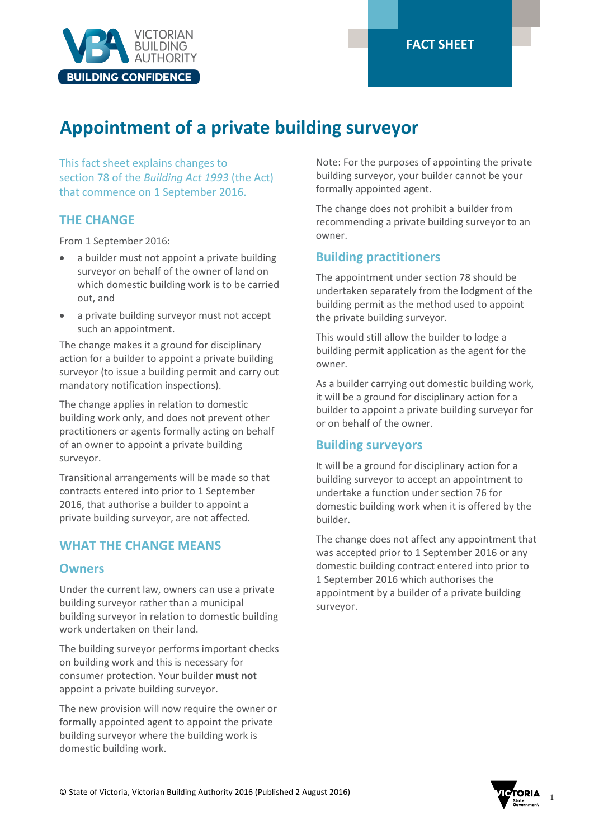

## **FACT SHEET**

# **Appointment of a private building surveyor**

This fact sheet explains changes to section 78 of the *Building Act 1993* (the Act) that commence on 1 September 2016.

## **THE CHANGE**

From 1 September 2016:

- a builder must not appoint a private building surveyor on behalf of the owner of land on which domestic building work is to be carried out, and
- a private building surveyor must not accept such an appointment.

The change makes it a ground for disciplinary action for a builder to appoint a private building surveyor (to issue a building permit and carry out mandatory notification inspections).

The change applies in relation to domestic building work only, and does not prevent other practitioners or agents formally acting on behalf of an owner to appoint a private building surveyor.

Transitional arrangements will be made so that contracts entered into prior to 1 September 2016, that authorise a builder to appoint a private building surveyor, are not affected.

## **WHAT THE CHANGE MEANS**

#### **Owners**

Under the current law, owners can use a private building surveyor rather than a municipal building surveyor in relation to domestic building work undertaken on their land.

The building surveyor performs important checks on building work and this is necessary for consumer protection. Your builder **must not** appoint a private building surveyor.

The new provision will now require the owner or formally appointed agent to appoint the private building surveyor where the building work is domestic building work.

Note: For the purposes of appointing the private building surveyor, your builder cannot be your formally appointed agent.

The change does not prohibit a builder from recommending a private building surveyor to an owner.

## **Building practitioners**

The appointment under section 78 should be undertaken separately from the lodgment of the building permit as the method used to appoint the private building surveyor.

This would still allow the builder to lodge a building permit application as the agent for the owner.

As a builder carrying out domestic building work, it will be a ground for disciplinary action for a builder to appoint a private building surveyor for or on behalf of the owner.

#### **Building surveyors**

It will be a ground for disciplinary action for a building surveyor to accept an appointment to undertake a function under section 76 for domestic building work when it is offered by the builder.

The change does not affect any appointment that was accepted prior to 1 September 2016 or any domestic building contract entered into prior to 1 September 2016 which authorises the appointment by a builder of a private building surveyor.